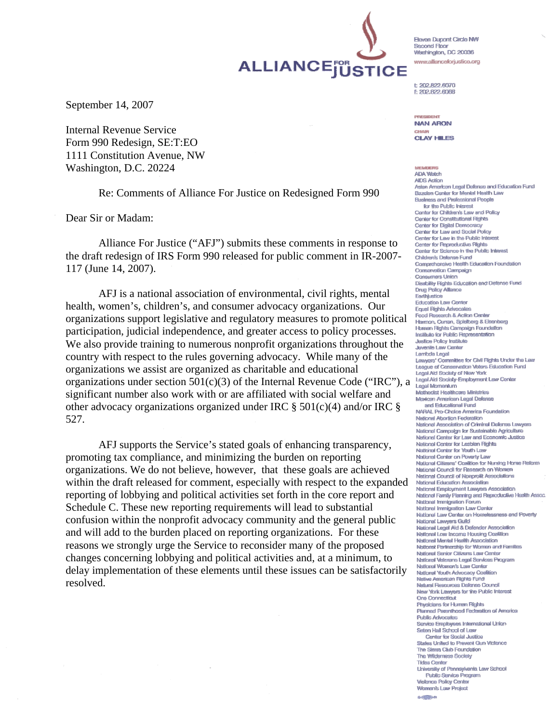Eleven Dupont Circle NW Second Floor Washington, DC 20036 www.allianceforiustice.org

 $+ 902 822 8070$ f: 202.822,6068

**PRESIDENT NAN ARON** CHAIR

**CLAY HILES** 

**MEMBERS** ADA Watch **AIDS Action** Asian American Legal Defense and Education Fund Bazelon Center for Mental Health Law **Business and Professional People** for the Public Interest Center for Children's Law and Policy Center for Constitutional Rights Center for Digital Democracy Center for Law and Social Policy Center for Law in the Public Inte Center for Reproductive Rights Center for Science in the Public Interest Children's Defense Fund Comprehensive Health Education Foundation Conservation Campaign **Consumers Union** Disability Rights Education and Defense Fund **Drug Policy Alliance** Earthjustice **Education Law Center Equal Rights Advocates** Food Research & Action Center Harmon, Curran, Spielberg & Eisenberg Human Rights Campaign Foundation Institute for Public Representation Justice Policy Institute Juvenile Law Center Lambda Legal Lawyers' Committee for Civil Rights Under the Law League of Conservation Voters Education Fund Legal Aid Society of New York Legal Aid Society-Employment Law Center Legal Momentum Methodist Healthcare Ministries Mexican American Legal Defense and Educational Fund NARAL Pro-Choice America Foundation National Abortion Federation National Association of Criminal Defense Lawvers National Campaign for Sustainable Agricultur National Center for Law and Economic Justice National Center for Lasblan Richts National Center for Youth Law National Center on Poverty Law National Citizens' Coalition for Nursing Home Reform National Council for Research on Women National Council of Nonprofit Associations National Education Association National Employment Lawyers Association National Family Planning and Reproductive Health Assoc. National Immigration Forum National Immigration Law Center National Law Center on Homelessness and Poverty National Lawyers Guild National Legal Aid & Defender Association National Low Income Housing Coalition National Mental Health Association National Partnership for Women and Families **National Senior Citizens Law Center National Veterans Legal Services Program** National Women's Law Center National Youth Advocacy Coalition Native American Filohis Fund Natural Resources Defense Council New York Lawyers for the Public Interest **One Connecticut** Physicians for Human Rights Planned Parenthood Federation of America **Public Advocates** Service Employees International Union Seton Hall School of Law Center for Social Justice States United to Prevent Gun Victence The Sterra Club Foundation The Wildemess Society **Tides Center** University of Pennsylvania Law School Public Service Program **Violence Policy Center** Women's Law Project a-caffilian

September 14, 2007

Internal Revenue Service Form 990 Redesign, SE:T:EO 1111 Constitution Avenue, NW Washington, D.C. 20224

Re: Comments of Alliance For Justice on Redesigned Form 990

ALLIANCEJUSTICE

Dear Sir or Madam:

 Alliance For Justice ("AFJ") submits these comments in response to the draft redesign of IRS Form 990 released for public comment in IR-2007- 117 (June 14, 2007).

 AFJ is a national association of environmental, civil rights, mental health, women's, children's, and consumer advocacy organizations. Our organizations support legislative and regulatory measures to promote political participation, judicial independence, and greater access to policy processes. We also provide training to numerous nonprofit organizations throughout the country with respect to the rules governing advocacy. While many of the organizations we assist are organized as charitable and educational organizations under section  $501(c)(3)$  of the Internal Revenue Code ("IRC"), a significant number also work with or are affiliated with social welfare and other advocacy organizations organized under IRC  $\S$  501(c)(4) and/or IRC  $\S$ 527.

 AFJ supports the Service's stated goals of enhancing transparency, promoting tax compliance, and minimizing the burden on reporting organizations. We do not believe, however, that these goals are achieved within the draft released for comment, especially with respect to the expanded reporting of lobbying and political activities set forth in the core report and Schedule C. These new reporting requirements will lead to substantial confusion within the nonprofit advocacy community and the general public and will add to the burden placed on reporting organizations. For these reasons we strongly urge the Service to reconsider many of the proposed changes concerning lobbying and political activities and, at a minimum, to delay implementation of these elements until these issues can be satisfactorily resolved.

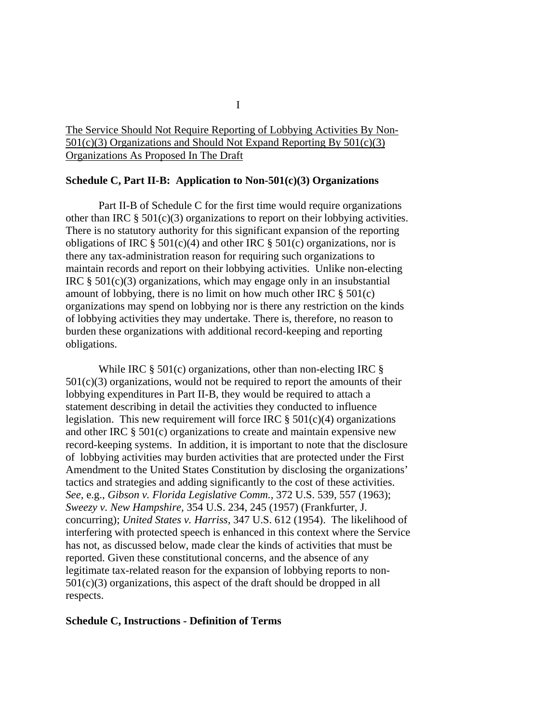# The Service Should Not Require Reporting of Lobbying Activities By Non-501(c)(3) Organizations and Should Not Expand Reporting By 501(c)(3) Organizations As Proposed In The Draft

## **Schedule C, Part II-B: Application to Non-501(c)(3) Organizations**

 Part II-B of Schedule C for the first time would require organizations other than IRC  $\S 501(c)(3)$  organizations to report on their lobbying activities. There is no statutory authority for this significant expansion of the reporting obligations of IRC  $\S 501(c)(4)$  and other IRC  $\S 501(c)$  organizations, nor is there any tax-administration reason for requiring such organizations to maintain records and report on their lobbying activities. Unlike non-electing IRC  $\S$  501(c)(3) organizations, which may engage only in an insubstantial amount of lobbying, there is no limit on how much other IRC  $\S 501(c)$ organizations may spend on lobbying nor is there any restriction on the kinds of lobbying activities they may undertake. There is, therefore, no reason to burden these organizations with additional record-keeping and reporting obligations.

While IRC  $\S$  501(c) organizations, other than non-electing IRC  $\S$  $501(c)(3)$  organizations, would not be required to report the amounts of their lobbying expenditures in Part II-B, they would be required to attach a statement describing in detail the activities they conducted to influence legislation. This new requirement will force IRC  $\S 501(c)(4)$  organizations and other IRC § 501(c) organizations to create and maintain expensive new record-keeping systems. In addition, it is important to note that the disclosure of lobbying activities may burden activities that are protected under the First Amendment to the United States Constitution by disclosing the organizations' tactics and strategies and adding significantly to the cost of these activities. *See*, e.g., *Gibson v. Florida Legislative Comm.,* 372 U.S. 539, 557 (1963); *Sweezy v. New Hampshire,* 354 U.S. 234, 245 (1957) (Frankfurter, J. concurring); *United States v. Harriss,* 347 U.S. 612 (1954). The likelihood of interfering with protected speech is enhanced in this context where the Service has not, as discussed below, made clear the kinds of activities that must be reported. Given these constitutional concerns, and the absence of any legitimate tax-related reason for the expansion of lobbying reports to non- $501(c)(3)$  organizations, this aspect of the draft should be dropped in all respects.

## **Schedule C, Instructions - Definition of Terms**

I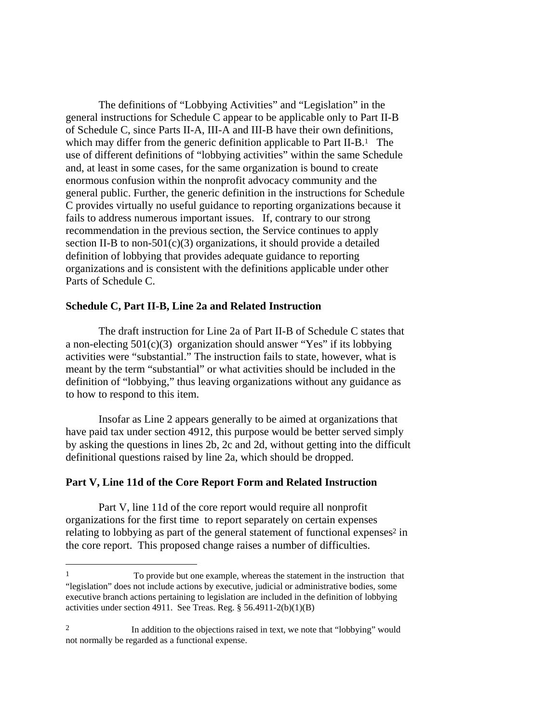The definitions of "Lobbying Activities" and "Legislation" in the general instructions for Schedule C appear to be applicable only to Part II-B of Schedule C, since Parts II-A, III-A and III-B have their own definitions, which may differ from the generic definition applicable to Part II-B.<sup>1</sup> The use of different definitions of "lobbying activities" within the same Schedule and, at least in some cases, for the same organization is bound to create enormous confusion within the nonprofit advocacy community and the general public. Further, the generic definition in the instructions for Schedule C provides virtually no useful guidance to reporting organizations because it fails to address numerous important issues. If, contrary to our strong recommendation in the previous section, the Service continues to apply section II-B to non-501 $(c)(3)$  organizations, it should provide a detailed definition of lobbying that provides adequate guidance to reporting organizations and is consistent with the definitions applicable under other Parts of Schedule C.

## **Schedule C, Part II-B, Line 2a and Related Instruction**

The draft instruction for Line 2a of Part II-B of Schedule C states that a non-electing  $501(c)(3)$  organization should answer "Yes" if its lobbying activities were "substantial." The instruction fails to state, however, what is meant by the term "substantial" or what activities should be included in the definition of "lobbying," thus leaving organizations without any guidance as to how to respond to this item.

 Insofar as Line 2 appears generally to be aimed at organizations that have paid tax under section 4912, this purpose would be better served simply by asking the questions in lines 2b, 2c and 2d, without getting into the difficult definitional questions raised by line 2a, which should be dropped.

#### **Part V, Line 11d of the Core Report Form and Related Instruction**

 $\overline{a}$ 

Part V, line 11d of the core report would require all nonprofit organizations for the first time to report separately on certain expenses relating to lobbying as part of the general statement of functional expenses<sup>2</sup> in the core report. This proposed change raises a number of difficulties.

<sup>1</sup> To provide but one example, whereas the statement in the instruction that "legislation" does not include actions by executive, judicial or administrative bodies, some executive branch actions pertaining to legislation are included in the definition of lobbying activities under section 4911. See Treas. Reg. § 56.4911-2(b)(1)(B)

<sup>&</sup>lt;sup>2</sup> In addition to the objections raised in text, we note that "lobbying" would not normally be regarded as a functional expense.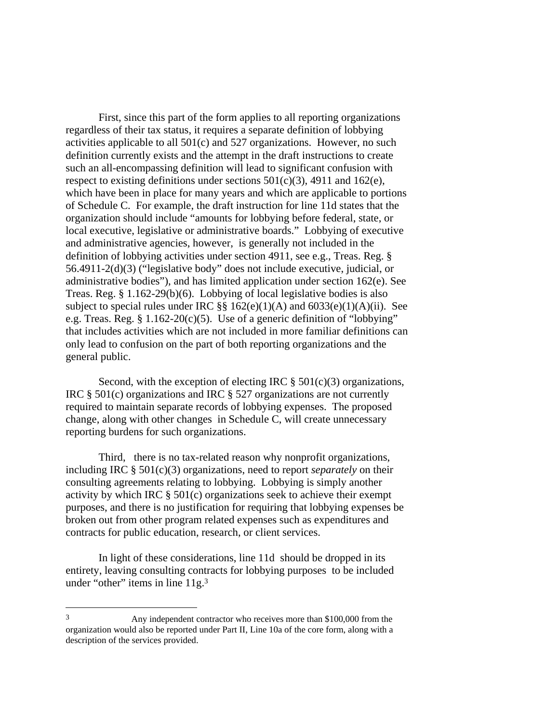First, since this part of the form applies to all reporting organizations regardless of their tax status, it requires a separate definition of lobbying activities applicable to all 501(c) and 527 organizations. However, no such definition currently exists and the attempt in the draft instructions to create such an all-encompassing definition will lead to significant confusion with respect to existing definitions under sections  $501(c)(3)$ , 4911 and 162(e), which have been in place for many years and which are applicable to portions of Schedule C. For example, the draft instruction for line 11d states that the organization should include "amounts for lobbying before federal, state, or local executive, legislative or administrative boards." Lobbying of executive and administrative agencies, however, is generally not included in the definition of lobbying activities under section 4911, see e.g., Treas. Reg. § 56.4911-2(d)(3) ("legislative body" does not include executive, judicial, or administrative bodies"), and has limited application under section 162(e). See Treas. Reg. § 1.162-29(b)(6). Lobbying of local legislative bodies is also subject to special rules under IRC  $\S$ § 162(e)(1)(A) and 6033(e)(1)(A)(ii). See e.g. Treas. Reg.  $\S 1.162-20(c)(5)$ . Use of a generic definition of "lobbying" that includes activities which are not included in more familiar definitions can only lead to confusion on the part of both reporting organizations and the general public.

Second, with the exception of electing IRC  $\S$  501(c)(3) organizations, IRC § 501(c) organizations and IRC § 527 organizations are not currently required to maintain separate records of lobbying expenses. The proposed change, along with other changes in Schedule C, will create unnecessary reporting burdens for such organizations.

 Third, there is no tax-related reason why nonprofit organizations, including IRC § 501(c)(3) organizations, need to report *separately* on their consulting agreements relating to lobbying. Lobbying is simply another activity by which IRC § 501(c) organizations seek to achieve their exempt purposes, and there is no justification for requiring that lobbying expenses be broken out from other program related expenses such as expenditures and contracts for public education, research, or client services.

 In light of these considerations, line 11d should be dropped in its entirety, leaving consulting contracts for lobbying purposes to be included under "other" items in line 11g.<sup>3</sup>

<sup>3</sup> Any independent contractor who receives more than \$100,000 from the organization would also be reported under Part II, Line 10a of the core form, along with a description of the services provided.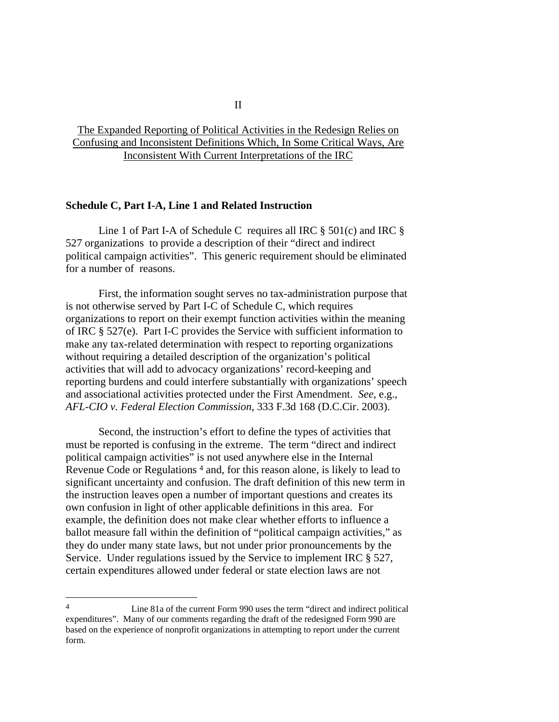# The Expanded Reporting of Political Activities in the Redesign Relies on Confusing and Inconsistent Definitions Which, In Some Critical Ways, Are Inconsistent With Current Interpretations of the IRC

## **Schedule C, Part I-A, Line 1 and Related Instruction**

 Line 1 of Part I-A of Schedule C requires all IRC § 501(c) and IRC § 527 organizations to provide a description of their "direct and indirect political campaign activities". This generic requirement should be eliminated for a number of reasons.

 First, the information sought serves no tax-administration purpose that is not otherwise served by Part I-C of Schedule C, which requires organizations to report on their exempt function activities within the meaning of IRC § 527(e). Part I-C provides the Service with sufficient information to make any tax-related determination with respect to reporting organizations without requiring a detailed description of the organization's political activities that will add to advocacy organizations' record-keeping and reporting burdens and could interfere substantially with organizations' speech and associational activities protected under the First Amendment. *See*, e.g., *AFL-CIO v. Federal Election Commission*, 333 F.3d 168 (D.C.Cir. 2003).

 Second, the instruction's effort to define the types of activities that must be reported is confusing in the extreme. The term "direct and indirect political campaign activities" is not used anywhere else in the Internal Revenue Code or Regulations 4 and, for this reason alone, is likely to lead to significant uncertainty and confusion. The draft definition of this new term in the instruction leaves open a number of important questions and creates its own confusion in light of other applicable definitions in this area. For example, the definition does not make clear whether efforts to influence a ballot measure fall within the definition of "political campaign activities," as they do under many state laws, but not under prior pronouncements by the Service. Under regulations issued by the Service to implement IRC § 527, certain expenditures allowed under federal or state election laws are not

<sup>4</sup> Line 81a of the current Form 990 uses the term "direct and indirect political expenditures". Many of our comments regarding the draft of the redesigned Form 990 are based on the experience of nonprofit organizations in attempting to report under the current form.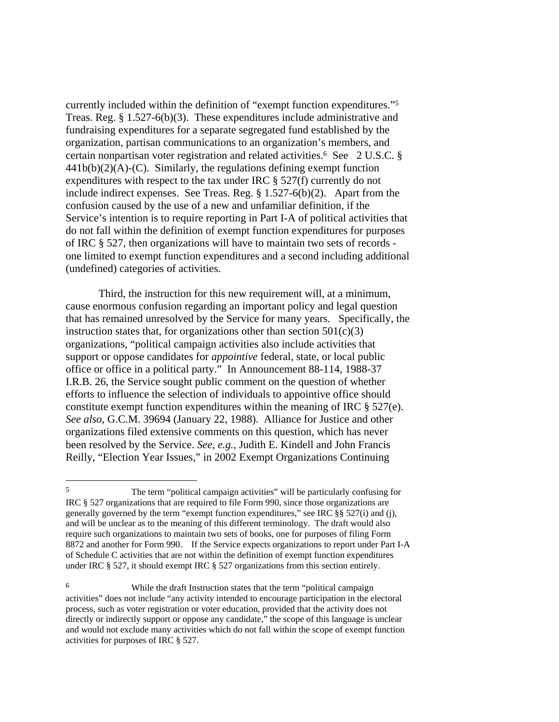currently included within the definition of "exempt function expenditures."5 Treas. Reg. § 1.527-6(b)(3). These expenditures include administrative and fundraising expenditures for a separate segregated fund established by the organization, partisan communications to an organization's members, and certain nonpartisan voter registration and related activities.6 See 2 U.S.C. §  $441b(b)(2)(A)-(C)$ . Similarly, the regulations defining exempt function expenditures with respect to the tax under IRC § 527(f) currently do not include indirect expenses. See Treas. Reg. § 1.527-6(b)(2). Apart from the confusion caused by the use of a new and unfamiliar definition, if the Service's intention is to require reporting in Part I-A of political activities that do not fall within the definition of exempt function expenditures for purposes of IRC § 527, then organizations will have to maintain two sets of records one limited to exempt function expenditures and a second including additional (undefined) categories of activities.

 Third, the instruction for this new requirement will, at a minimum, cause enormous confusion regarding an important policy and legal question that has remained unresolved by the Service for many years. Specifically, the instruction states that, for organizations other than section  $501(c)(3)$ organizations, "political campaign activities also include activities that support or oppose candidates for *appointive* federal, state, or local public office or office in a political party." In Announcement 88-114, 1988-37 I.R.B. 26, the Service sought public comment on the question of whether efforts to influence the selection of individuals to appointive office should constitute exempt function expenditures within the meaning of IRC § 527(e). *See also,* G.C.M. 39694 (January 22, 1988). Alliance for Justice and other organizations filed extensive comments on this question, which has never been resolved by the Service. *See, e.g.,* Judith E. Kindell and John Francis Reilly, "Election Year Issues," in 2002 Exempt Organizations Continuing

<sup>5</sup> The term "political campaign activities" will be particularly confusing for IRC § 527 organizations that are required to file Form 990, since those organizations are generally governed by the term "exempt function expenditures," see IRC §§ 527(i) and (j), and will be unclear as to the meaning of this different terminology. The draft would also require such organizations to maintain two sets of books, one for purposes of filing Form 8872 and another for Form 990. If the Service expects organizations to report under Part I-A of Schedule C activities that are not within the definition of exempt function expenditures under IRC § 527, it should exempt IRC § 527 organizations from this section entirely.

<sup>6</sup> While the draft Instruction states that the term "political campaign activities" does not include "any activity intended to encourage participation in the electoral process, such as voter registration or voter education, provided that the activity does not directly or indirectly support or oppose any candidate," the scope of this language is unclear and would not exclude many activities which do not fall within the scope of exempt function activities for purposes of IRC § 527.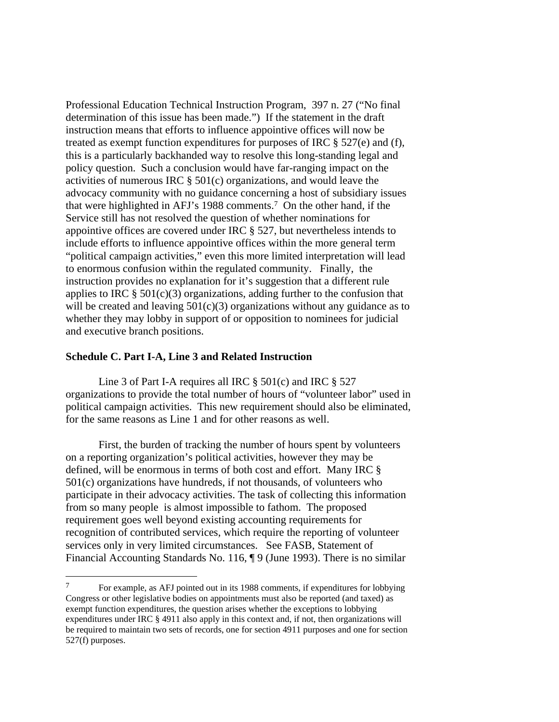Professional Education Technical Instruction Program, 397 n. 27 ("No final determination of this issue has been made.") If the statement in the draft instruction means that efforts to influence appointive offices will now be treated as exempt function expenditures for purposes of IRC § 527(e) and (f), this is a particularly backhanded way to resolve this long-standing legal and policy question. Such a conclusion would have far-ranging impact on the activities of numerous IRC § 501(c) organizations, and would leave the advocacy community with no guidance concerning a host of subsidiary issues that were highlighted in AFJ's 1988 comments.7 On the other hand, if the Service still has not resolved the question of whether nominations for appointive offices are covered under IRC § 527, but nevertheless intends to include efforts to influence appointive offices within the more general term "political campaign activities," even this more limited interpretation will lead to enormous confusion within the regulated community. Finally, the instruction provides no explanation for it's suggestion that a different rule applies to IRC  $\S 501(c)(3)$  organizations, adding further to the confusion that will be created and leaving  $501(c)(3)$  organizations without any guidance as to whether they may lobby in support of or opposition to nominees for judicial and executive branch positions.

# **Schedule C. Part I-A, Line 3 and Related Instruction**

 $\overline{a}$ 

 Line 3 of Part I-A requires all IRC § 501(c) and IRC § 527 organizations to provide the total number of hours of "volunteer labor" used in political campaign activities. This new requirement should also be eliminated, for the same reasons as Line 1 and for other reasons as well.

 First, the burden of tracking the number of hours spent by volunteers on a reporting organization's political activities, however they may be defined, will be enormous in terms of both cost and effort. Many IRC § 501(c) organizations have hundreds, if not thousands, of volunteers who participate in their advocacy activities. The task of collecting this information from so many people is almost impossible to fathom. The proposed requirement goes well beyond existing accounting requirements for recognition of contributed services, which require the reporting of volunteer services only in very limited circumstances. See FASB, Statement of Financial Accounting Standards No. 116, ¶ 9 (June 1993). There is no similar

<sup>7</sup> For example, as AFJ pointed out in its 1988 comments, if expenditures for lobbying Congress or other legislative bodies on appointments must also be reported (and taxed) as exempt function expenditures, the question arises whether the exceptions to lobbying expenditures under IRC § 4911 also apply in this context and, if not, then organizations will be required to maintain two sets of records, one for section 4911 purposes and one for section 527(f) purposes.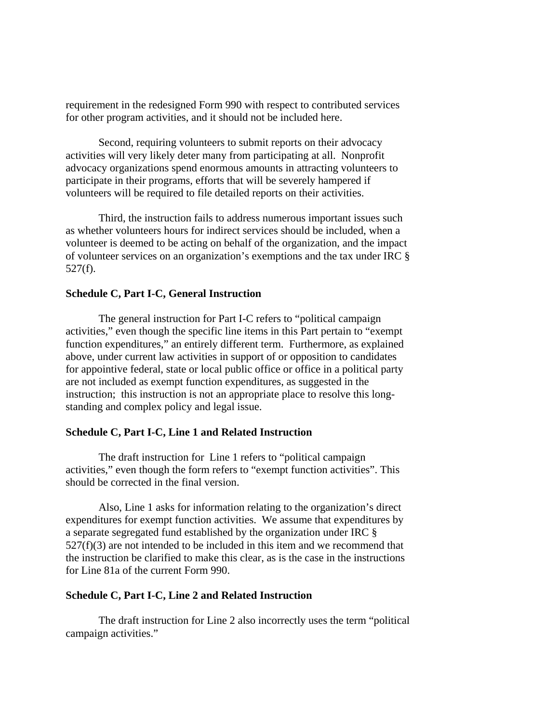requirement in the redesigned Form 990 with respect to contributed services for other program activities, and it should not be included here.

 Second, requiring volunteers to submit reports on their advocacy activities will very likely deter many from participating at all. Nonprofit advocacy organizations spend enormous amounts in attracting volunteers to participate in their programs, efforts that will be severely hampered if volunteers will be required to file detailed reports on their activities.

 Third, the instruction fails to address numerous important issues such as whether volunteers hours for indirect services should be included, when a volunteer is deemed to be acting on behalf of the organization, and the impact of volunteer services on an organization's exemptions and the tax under IRC § 527(f).

## **Schedule C, Part I-C, General Instruction**

The general instruction for Part I-C refers to "political campaign activities," even though the specific line items in this Part pertain to "exempt function expenditures," an entirely different term. Furthermore, as explained above, under current law activities in support of or opposition to candidates for appointive federal, state or local public office or office in a political party are not included as exempt function expenditures, as suggested in the instruction; this instruction is not an appropriate place to resolve this longstanding and complex policy and legal issue.

## **Schedule C, Part I-C, Line 1 and Related Instruction**

 The draft instruction for Line 1 refers to "political campaign activities," even though the form refers to "exempt function activities". This should be corrected in the final version.

 Also, Line 1 asks for information relating to the organization's direct expenditures for exempt function activities. We assume that expenditures by a separate segregated fund established by the organization under IRC §  $527(f)(3)$  are not intended to be included in this item and we recommend that the instruction be clarified to make this clear, as is the case in the instructions for Line 81a of the current Form 990.

## **Schedule C, Part I-C, Line 2 and Related Instruction**

The draft instruction for Line 2 also incorrectly uses the term "political campaign activities."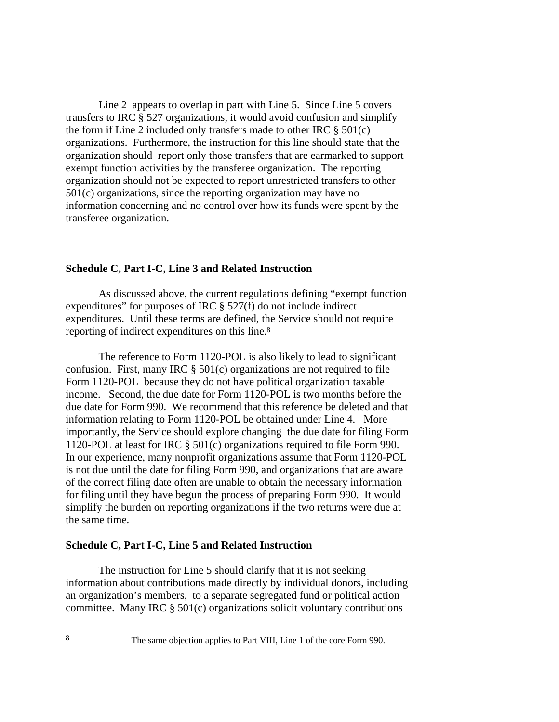Line 2 appears to overlap in part with Line 5. Since Line 5 covers transfers to IRC § 527 organizations, it would avoid confusion and simplify the form if Line 2 included only transfers made to other IRC  $\S$  501(c) organizations. Furthermore, the instruction for this line should state that the organization should report only those transfers that are earmarked to support exempt function activities by the transferee organization. The reporting organization should not be expected to report unrestricted transfers to other 501(c) organizations, since the reporting organization may have no information concerning and no control over how its funds were spent by the transferee organization.

## **Schedule C, Part I-C, Line 3 and Related Instruction**

As discussed above, the current regulations defining "exempt function expenditures" for purposes of IRC § 527(f) do not include indirect expenditures. Until these terms are defined, the Service should not require reporting of indirect expenditures on this line.8

 The reference to Form 1120-POL is also likely to lead to significant confusion. First, many IRC § 501(c) organizations are not required to file Form 1120-POL because they do not have political organization taxable income. Second, the due date for Form 1120-POL is two months before the due date for Form 990. We recommend that this reference be deleted and that information relating to Form 1120-POL be obtained under Line 4. More importantly, the Service should explore changing the due date for filing Form 1120-POL at least for IRC § 501(c) organizations required to file Form 990. In our experience, many nonprofit organizations assume that Form 1120-POL is not due until the date for filing Form 990, and organizations that are aware of the correct filing date often are unable to obtain the necessary information for filing until they have begun the process of preparing Form 990. It would simplify the burden on reporting organizations if the two returns were due at the same time.

#### **Schedule C, Part I-C, Line 5 and Related Instruction**

 The instruction for Line 5 should clarify that it is not seeking information about contributions made directly by individual donors, including an organization's members, to a separate segregated fund or political action committee. Many IRC  $\S 501(c)$  organizations solicit voluntary contributions

8 The same objection applies to Part VIII, Line 1 of the core Form 990.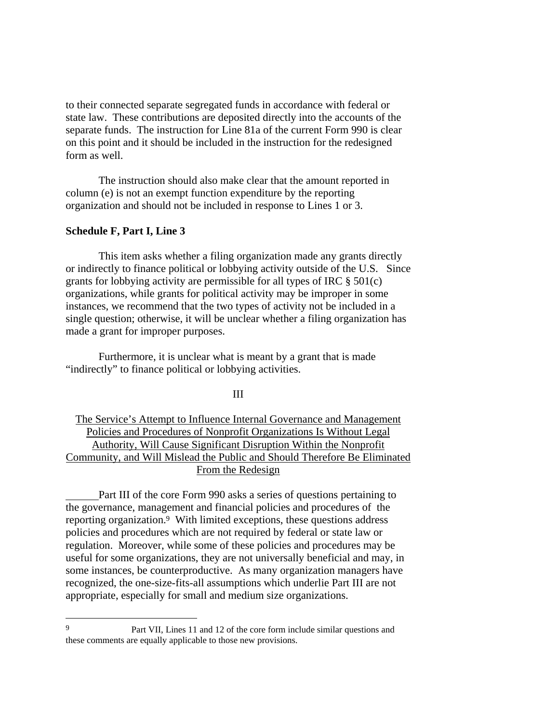to their connected separate segregated funds in accordance with federal or state law. These contributions are deposited directly into the accounts of the separate funds. The instruction for Line 81a of the current Form 990 is clear on this point and it should be included in the instruction for the redesigned form as well.

 The instruction should also make clear that the amount reported in column (e) is not an exempt function expenditure by the reporting organization and should not be included in response to Lines 1 or 3.

## **Schedule F, Part I, Line 3**

 $\overline{a}$ 

This item asks whether a filing organization made any grants directly or indirectly to finance political or lobbying activity outside of the U.S. Since grants for lobbying activity are permissible for all types of IRC  $\S 501(c)$ organizations, while grants for political activity may be improper in some instances, we recommend that the two types of activity not be included in a single question; otherwise, it will be unclear whether a filing organization has made a grant for improper purposes.

 Furthermore, it is unclear what is meant by a grant that is made "indirectly" to finance political or lobbying activities.

III

The Service's Attempt to Influence Internal Governance and Management Policies and Procedures of Nonprofit Organizations Is Without Legal Authority, Will Cause Significant Disruption Within the Nonprofit Community, and Will Mislead the Public and Should Therefore Be Eliminated From the Redesign

Part III of the core Form 990 asks a series of questions pertaining to the governance, management and financial policies and procedures of the reporting organization.9 With limited exceptions, these questions address policies and procedures which are not required by federal or state law or regulation. Moreover, while some of these policies and procedures may be useful for some organizations, they are not universally beneficial and may, in some instances, be counterproductive. As many organization managers have recognized, the one-size-fits-all assumptions which underlie Part III are not appropriate, especially for small and medium size organizations.

<sup>9</sup> Part VII, Lines 11 and 12 of the core form include similar questions and these comments are equally applicable to those new provisions.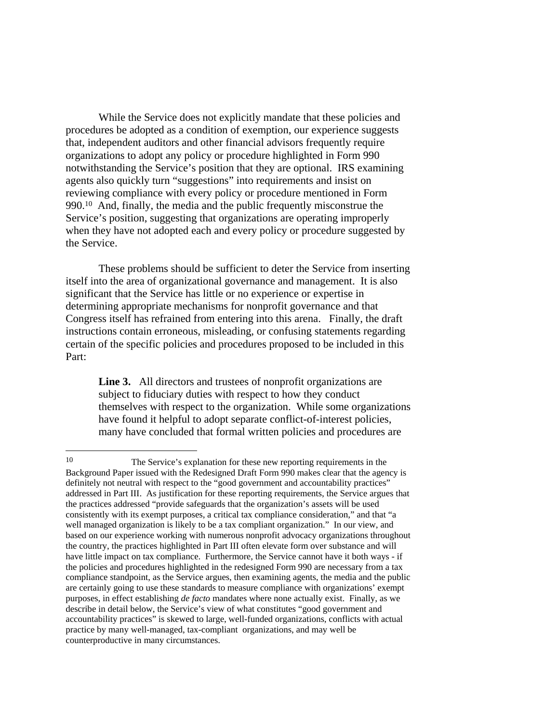While the Service does not explicitly mandate that these policies and procedures be adopted as a condition of exemption, our experience suggests that, independent auditors and other financial advisors frequently require organizations to adopt any policy or procedure highlighted in Form 990 notwithstanding the Service's position that they are optional. IRS examining agents also quickly turn "suggestions" into requirements and insist on reviewing compliance with every policy or procedure mentioned in Form 990.10 And, finally, the media and the public frequently misconstrue the Service's position, suggesting that organizations are operating improperly when they have not adopted each and every policy or procedure suggested by the Service.

 These problems should be sufficient to deter the Service from inserting itself into the area of organizational governance and management. It is also significant that the Service has little or no experience or expertise in determining appropriate mechanisms for nonprofit governance and that Congress itself has refrained from entering into this arena. Finally, the draft instructions contain erroneous, misleading, or confusing statements regarding certain of the specific policies and procedures proposed to be included in this Part:

 **Line 3.** All directors and trustees of nonprofit organizations are subject to fiduciary duties with respect to how they conduct themselves with respect to the organization. While some organizations have found it helpful to adopt separate conflict-of-interest policies, many have concluded that formal written policies and procedures are

<sup>10</sup> The Service's explanation for these new reporting requirements in the Background Paper issued with the Redesigned Draft Form 990 makes clear that the agency is definitely not neutral with respect to the "good government and accountability practices" addressed in Part III. As justification for these reporting requirements, the Service argues that the practices addressed "provide safeguards that the organization's assets will be used consistently with its exempt purposes, a critical tax compliance consideration," and that "a well managed organization is likely to be a tax compliant organization." In our view, and based on our experience working with numerous nonprofit advocacy organizations throughout the country, the practices highlighted in Part III often elevate form over substance and will have little impact on tax compliance. Furthermore, the Service cannot have it both ways - if the policies and procedures highlighted in the redesigned Form 990 are necessary from a tax compliance standpoint, as the Service argues, then examining agents, the media and the public are certainly going to use these standards to measure compliance with organizations' exempt purposes, in effect establishing *de facto* mandates where none actually exist. Finally, as we describe in detail below, the Service's view of what constitutes "good government and accountability practices" is skewed to large, well-funded organizations, conflicts with actual practice by many well-managed, tax-compliant organizations, and may well be counterproductive in many circumstances.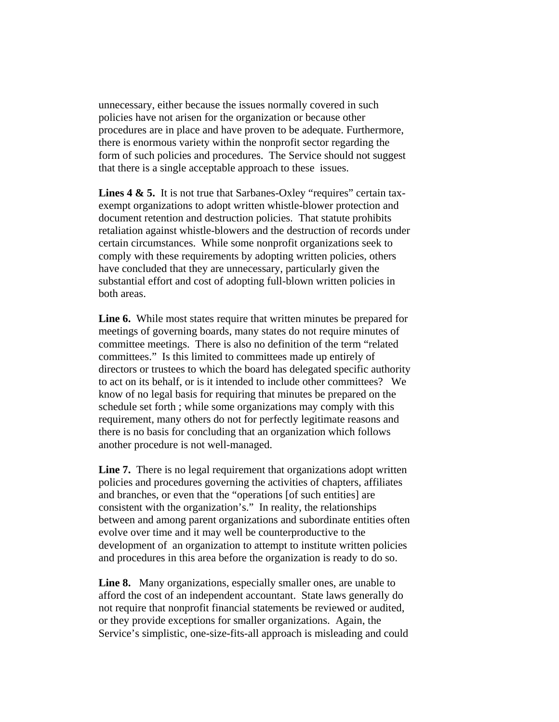unnecessary, either because the issues normally covered in such policies have not arisen for the organization or because other procedures are in place and have proven to be adequate. Furthermore, there is enormous variety within the nonprofit sector regarding the form of such policies and procedures. The Service should not suggest that there is a single acceptable approach to these issues.

Lines 4 & 5. It is not true that Sarbanes-Oxley "requires" certain taxexempt organizations to adopt written whistle-blower protection and document retention and destruction policies. That statute prohibits retaliation against whistle-blowers and the destruction of records under certain circumstances. While some nonprofit organizations seek to comply with these requirements by adopting written policies, others have concluded that they are unnecessary, particularly given the substantial effort and cost of adopting full-blown written policies in both areas.

 **Line 6.** While most states require that written minutes be prepared for meetings of governing boards, many states do not require minutes of committee meetings. There is also no definition of the term "related committees." Is this limited to committees made up entirely of directors or trustees to which the board has delegated specific authority to act on its behalf, or is it intended to include other committees? We know of no legal basis for requiring that minutes be prepared on the schedule set forth ; while some organizations may comply with this requirement, many others do not for perfectly legitimate reasons and there is no basis for concluding that an organization which follows another procedure is not well-managed.

Line 7. There is no legal requirement that organizations adopt written policies and procedures governing the activities of chapters, affiliates and branches, or even that the "operations [of such entities] are consistent with the organization's." In reality, the relationships between and among parent organizations and subordinate entities often evolve over time and it may well be counterproductive to the development of an organization to attempt to institute written policies and procedures in this area before the organization is ready to do so.

 **Line 8.** Many organizations, especially smaller ones, are unable to afford the cost of an independent accountant. State laws generally do not require that nonprofit financial statements be reviewed or audited, or they provide exceptions for smaller organizations. Again, the Service's simplistic, one-size-fits-all approach is misleading and could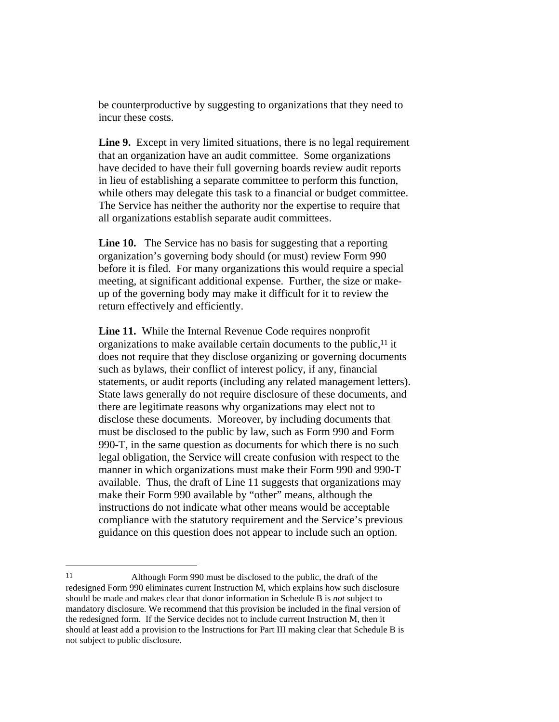be counterproductive by suggesting to organizations that they need to incur these costs.

Line 9. Except in very limited situations, there is no legal requirement that an organization have an audit committee. Some organizations have decided to have their full governing boards review audit reports in lieu of establishing a separate committee to perform this function, while others may delegate this task to a financial or budget committee. The Service has neither the authority nor the expertise to require that all organizations establish separate audit committees.

 **Line 10.** The Service has no basis for suggesting that a reporting organization's governing body should (or must) review Form 990 before it is filed. For many organizations this would require a special meeting, at significant additional expense. Further, the size or makeup of the governing body may make it difficult for it to review the return effectively and efficiently.

 **Line 11.** While the Internal Revenue Code requires nonprofit organizations to make available certain documents to the public, $<sup>11</sup>$  it</sup> does not require that they disclose organizing or governing documents such as bylaws, their conflict of interest policy, if any, financial statements, or audit reports (including any related management letters). State laws generally do not require disclosure of these documents, and there are legitimate reasons why organizations may elect not to disclose these documents. Moreover, by including documents that must be disclosed to the public by law, such as Form 990 and Form 990-T, in the same question as documents for which there is no such legal obligation, the Service will create confusion with respect to the manner in which organizations must make their Form 990 and 990-T available. Thus, the draft of Line 11 suggests that organizations may make their Form 990 available by "other" means, although the instructions do not indicate what other means would be acceptable compliance with the statutory requirement and the Service's previous guidance on this question does not appear to include such an option.

<sup>11</sup> Although Form 990 must be disclosed to the public, the draft of the redesigned Form 990 eliminates current Instruction M, which explains how such disclosure should be made and makes clear that donor information in Schedule B is *not* subject to mandatory disclosure. We recommend that this provision be included in the final version of the redesigned form. If the Service decides not to include current Instruction M, then it should at least add a provision to the Instructions for Part III making clear that Schedule B is not subject to public disclosure.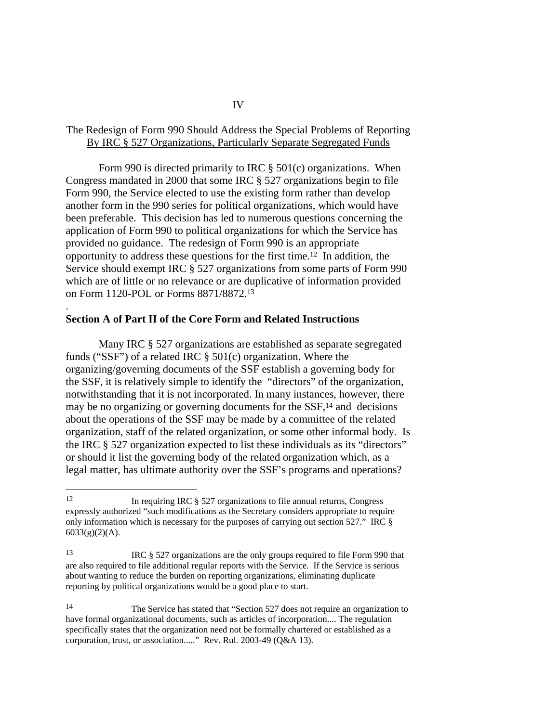# The Redesign of Form 990 Should Address the Special Problems of Reporting By IRC § 527 Organizations, Particularly Separate Segregated Funds

 Form 990 is directed primarily to IRC § 501(c) organizations. When Congress mandated in 2000 that some IRC § 527 organizations begin to file Form 990, the Service elected to use the existing form rather than develop another form in the 990 series for political organizations, which would have been preferable. This decision has led to numerous questions concerning the application of Form 990 to political organizations for which the Service has provided no guidance. The redesign of Form 990 is an appropriate opportunity to address these questions for the first time.12 In addition, the Service should exempt IRC § 527 organizations from some parts of Form 990 which are of little or no relevance or are duplicative of information provided on Form 1120-POL or Forms 8871/8872.13

# **Section A of Part II of the Core Form and Related Instructions**

.

1

Many IRC § 527 organizations are established as separate segregated funds ("SSF") of a related IRC  $\S$  501(c) organization. Where the organizing/governing documents of the SSF establish a governing body for the SSF, it is relatively simple to identify the "directors" of the organization, notwithstanding that it is not incorporated. In many instances, however, there may be no organizing or governing documents for the SSF,14 and decisions about the operations of the SSF may be made by a committee of the related organization, staff of the related organization, or some other informal body. Is the IRC § 527 organization expected to list these individuals as its "directors" or should it list the governing body of the related organization which, as a legal matter, has ultimate authority over the SSF's programs and operations?

<sup>12</sup> In requiring IRC § 527 organizations to file annual returns, Congress expressly authorized "such modifications as the Secretary considers appropriate to require only information which is necessary for the purposes of carrying out section 527." IRC § 6033(g)(2)(A).

<sup>13</sup> IRC § 527 organizations are the only groups required to file Form 990 that are also required to file additional regular reports with the Service. If the Service is serious about wanting to reduce the burden on reporting organizations, eliminating duplicate reporting by political organizations would be a good place to start.

<sup>14</sup> The Service has stated that "Section 527 does not require an organization to have formal organizational documents, such as articles of incorporation.... The regulation specifically states that the organization need not be formally chartered or established as a corporation, trust, or association....." Rev. Rul. 2003-49 (Q&A 13).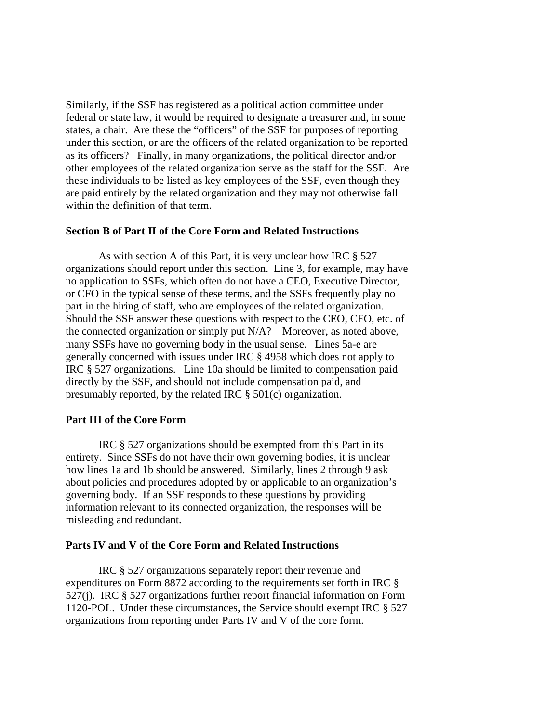Similarly, if the SSF has registered as a political action committee under federal or state law, it would be required to designate a treasurer and, in some states, a chair. Are these the "officers" of the SSF for purposes of reporting under this section, or are the officers of the related organization to be reported as its officers? Finally, in many organizations, the political director and/or other employees of the related organization serve as the staff for the SSF. Are these individuals to be listed as key employees of the SSF, even though they are paid entirely by the related organization and they may not otherwise fall within the definition of that term.

### **Section B of Part II of the Core Form and Related Instructions**

As with section A of this Part, it is very unclear how IRC § 527 organizations should report under this section. Line 3, for example, may have no application to SSFs, which often do not have a CEO, Executive Director, or CFO in the typical sense of these terms, and the SSFs frequently play no part in the hiring of staff, who are employees of the related organization. Should the SSF answer these questions with respect to the CEO, CFO, etc. of the connected organization or simply put N/A? Moreover, as noted above, many SSFs have no governing body in the usual sense. Lines 5a-e are generally concerned with issues under IRC § 4958 which does not apply to IRC § 527 organizations. Line 10a should be limited to compensation paid directly by the SSF, and should not include compensation paid, and presumably reported, by the related IRC § 501(c) organization.

## **Part III of the Core Form**

IRC § 527 organizations should be exempted from this Part in its entirety. Since SSFs do not have their own governing bodies, it is unclear how lines 1a and 1b should be answered. Similarly, lines 2 through 9 ask about policies and procedures adopted by or applicable to an organization's governing body. If an SSF responds to these questions by providing information relevant to its connected organization, the responses will be misleading and redundant.

# **Parts IV and V of the Core Form and Related Instructions**

IRC § 527 organizations separately report their revenue and expenditures on Form 8872 according to the requirements set forth in IRC § 527(j). IRC § 527 organizations further report financial information on Form 1120-POL. Under these circumstances, the Service should exempt IRC § 527 organizations from reporting under Parts IV and V of the core form.